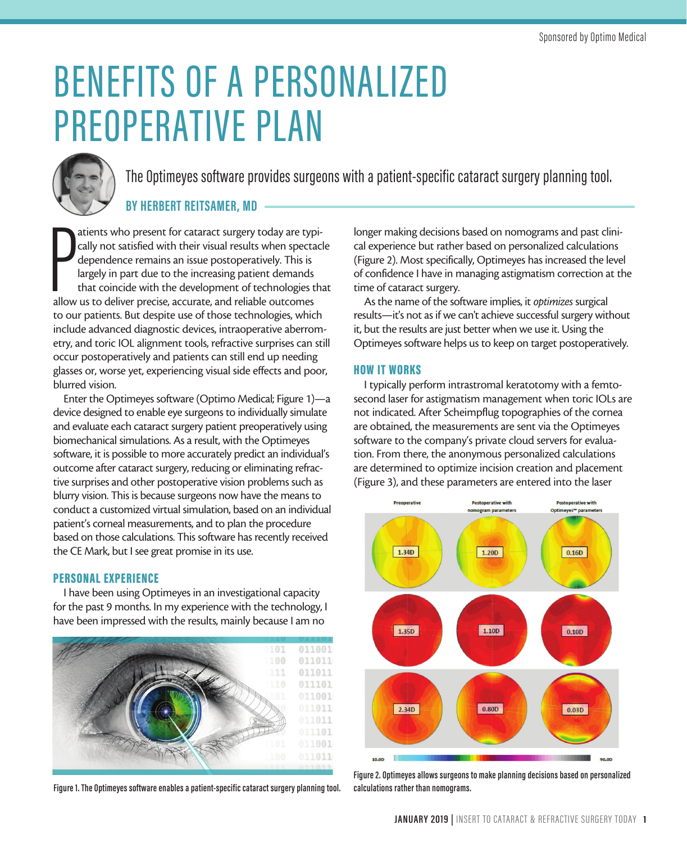# BENEFITS OF A PERSONALIZED PREOPERATIVE PLAN



The Optimeyes software provides surgeons with a patient-specific cataract surgery planning tool.

### **BY HERBERT REITSAMER, MD**

atients who present for cataract surgery today are typ cally not satisfied with their visual results when specta<br>dependence remains an issue postoperatively. This is<br>largely in part due to the increasing patient demands<br>th atients who present for cataract surgery today are typically not satisfied with their visual results when spectacle dependence remains an issue postoperatively. This is largely in part due to the increasing patient demands that coincide with the development of technologies that to our patients. But despite use of those technologies, which include advanced diagnostic devices, intraoperative aberrometry, and toric IOL alignment tools, refractive surprises can still occur postoperatively and patients can still end up needing glasses or, worse yet, experiencing visual side effects and poor, blurred vision.

Enter the Optimeyes software (Optimo Medical; Figure 1)—a device designed to enable eye surgeons to individually simulate and evaluate each cataract surgery patient preoperatively using biomechanical simulations. As a result, with the Optimeyes software, it is possible to more accurately predict an individual's outcome after cataract surgery, reducing or eliminating refractive surprises and other postoperative vision problems such as blurry vision. This is because surgeons now have the means to conduct a customized virtual simulation, based on an individual patient's corneal measurements, and to plan the procedure based on those calculations. This software has recently received the CE Mark, but I see great promise in its use.

#### PERSONAL EXPERIENCE

I have been using Optimeyes in an investigational capacity for the past 9 months. In my experience with the technology, I have been impressed with the results, mainly because I am no



**Figure 1. The Optimeyes software enables a patient-specific cataract surgery planning tool.**

longer making decisions based on nomograms and past clinical experience but rather based on personalized calculations (Figure 2). Most specifically, Optimeyes has increased the level of confidence I have in managing astigmatism correction at the time of cataract surgery.

As the name of the software implies, it *optimizes* surgical results—it's not as if we can't achieve successful surgery without it, but the results are just better when we use it. Using the Optimeyes software helps us to keep on target postoperatively.

#### HOW IT WORKS

I typically perform intrastromal keratotomy with a femtosecond laser for astigmatism management when toric IOLs are not indicated. After Scheimpflug topographies of the cornea are obtained, the measurements are sent via the Optimeyes software to the company's private cloud servers for evaluation. From there, the anonymous personalized calculations are determined to optimize incision creation and placement (Figure 3), and these parameters are entered into the laser



**Figure 2. Optimeyes allows surgeons to make planning decisions based on personalized calculations rather than nomograms.**